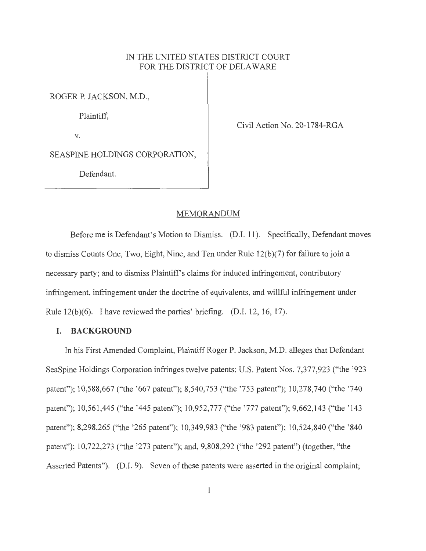# IN THE UNITED STATES DISTRICT COURT FOR THE DISTRICT OF DELAWARE

ROGER P. JACKSON, M.D.,

Plaintiff,

V.

Civil Action No. 20-1784-RGA

SEASPINE HOLDINGS CORPORATION,

Defendant.

#### MEMORANDUM

Before me is Defendant's Motion to Dismiss. (D.I. 11). Specifically, Defendant moves to dismiss Counts One, Two, Eight, Nine, and Ten under Rule 12(b)(7) for failure to join a necessary party; and to dismiss Plaintiff's claims for induced infringement, contributory infringement, infringement under the doctrine of equivalents, and willful infringement under Rule 12(b)(6). I have reviewed the parties' briefing. (D.I. 12, 16, 17).

### **I. BACKGROUND**

In his First Amended Complaint, Plaintiff Roger P. Jackson, M.D. alleges that Defendant SeaSpine Holdings Corporation infringes twelve patents: U.S. Patent Nos. 7,377,923 ("the '923 patent"); 10,588,667 ("the '667 patent"); 8,540,753 ("the '753 patent"); 10,278,740 ("the '740 patent"); 10,561,445 ("the '445 patent"); 10,952,777 ("the '777 patent"); 9,662,143 ("the '143 patent"); 8,298,265 ("the '265 patent"); 10,349,983 ("the '983 patent"); 10,524,840 ("the '840 patent"); 10,722,273 ("the '273 patent"); and, 9,808,292 ("the '292 patent") (together, "the Asserted Patents"). (D.I. 9). Seven of these patents were asserted in the original complaint;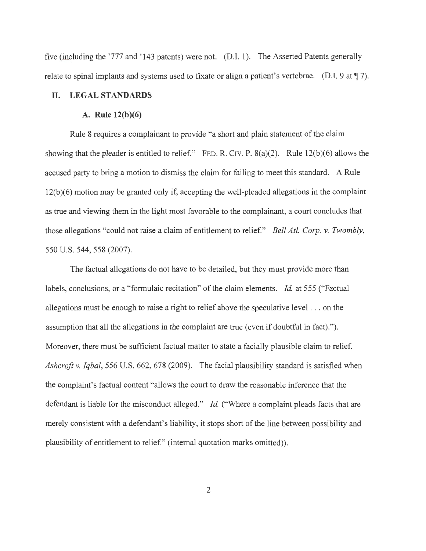five (including the '777 and '143 patents) were not. (D.I. 1). The Asserted Patents generally relate to spinal implants and systems used to fixate or align a patient's vertebrae. (D.I. 9 at  $\parallel$  7).

# **II. LEGAL STANDARDS**

# **A. Rule 12(b)(6)**

Rule 8 requires a complainant to provide "a short and plain statement of the claim showing that the pleader is entitled to relief." FED. R. CIV. P. 8(a)(2). Rule 12(b)(6) allows the accused party to bring a motion to dismiss the claim for failing to meet this standard. A Rule 12(b)(6) motion may be granted only if, accepting the well-pleaded allegations in the complaint as true and viewing them in the light most favorable to the complainant, a court concludes that those allegations "could not raise a claim of entitlement to relief." *Bell At!. Corp. v. Twombly,*  550 U.S. 544, 558 (2007).

The factual allegations do not have to be detailed, but they must provide more than labels, conclusions, or a "formulaic recitation" of the claim elements. *Id.* at 555 ("Factual allegations must be enough to raise a right to relief above the speculative level . .. on the assumption that all the allegations in the complaint are true (even if doubtful in fact). "). Moreover, there must be sufficient factual matter to state a facially plausible claim to relief. *Ashcroft* v. *Iqbal,* 556 U.S. 662, 678 (2009). The facial plausibility standard is satisfied when the complaint's factual content "allows the court to draw the reasonable inference that the defendant is liable for the misconduct alleged." *Id.* ("Where a complaint pleads facts that are merely consistent with a defendant's liability, it stops short of the line between possibility and plausibility of entitlement to relief." (internal quotation marks omitted)).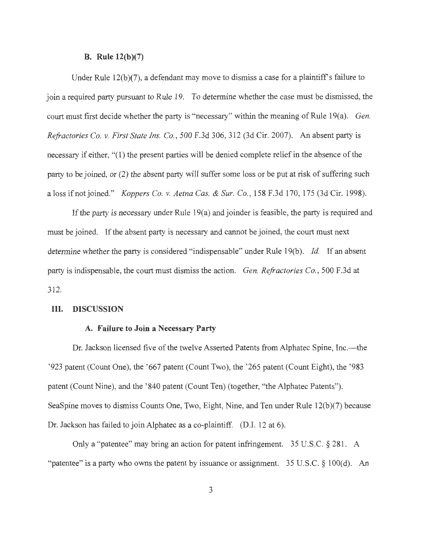#### **B.** Rule  $12(b)(7)$

Under Rule  $12(b)(7)$ , a defendant may move to dismiss a case for a plaintiff's failure to join a required party pursuant to Rule 19. To determine whether the case must be dismissed, the court must first decide whether the party is "necessary" within the meaning of Rule 19(a). *Gen. Refractories Co. v. First State Ins. Co. ,* 500 F.3d 306, 312 (3d Cir. 2007). An absent party is necessary if either, "(1) the present parties will be denied complete relief in the absence of the party to be joined, or (2) the absent party will suffer some loss or be put at risk of suffering such a loss if not joined." *Koppers Co. v. Aetna Cas. & Sur. Co.,* 158 F.3d 170, 175 (3d Cir. 1998).

If the party is necessary under Rule  $19(a)$  and joinder is feasible, the party is required and must be joined. If the absent party is necessary and cannot be joined, the court must next determine whether the party is considered "indispensable" under Rule 19(b). *Id*. If an absent party is indispensable, the court must dismiss the action. *Gen. Refractories Co.,* 500 F.3d at 312.

## III. **DISCUSSION**

# **A. Failure to Join a Necessary Party**

Dr. Jackson licensed five of the twelve Asserted Patents from Alphatec Spine, Inc.—the '923 patent (Count One), the '667 patent (Count Two), the '265 patent (Count Eight), the ' 983 patent (Count Nine), and the '840 patent (Count Ten) (together, "the Alphatec Patents"). SeaSpine moves to dismiss Counts One, Two, Eight, Nine, and Ten under Rule  $12(b)(7)$  because Dr. Jackson has failed to join Alphatec as a co-plaintiff. (D.I. 12 at 6).

Only a "patentee" may bring an action for patent infringement. 35 U.S.C. § 281. A "patentee" is a party who owns the patent by issuance or assignment.  $35 \text{ U.S.C.} \S 100(d)$ . An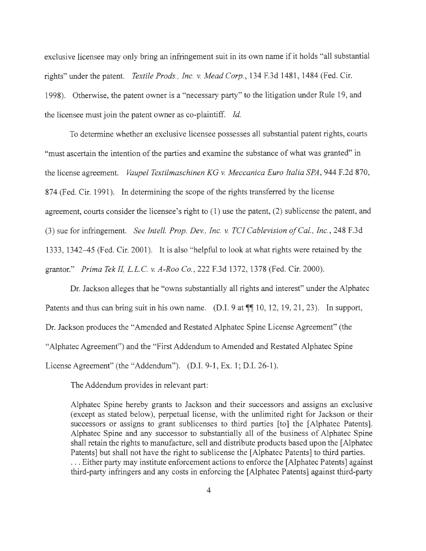exclusive licensee may only bring an infringement suit in its own name if it holds "all substantial rights" under the patent. *Textile Prods., Inc. v. Mead Corp.*, 134 F.3d 1481, 1484 (Fed. Cir. 1998). Otherwise, the patent owner is a "necessary party" to the litigation under Rule 19, and the licensee must join the patent owner as co-plaintiff. *Id.* 

To determine whether an exclusive licensee possesses all substantial patent rights, courts "must ascertain the intention of the parties and examine the substance of what was granted" in the license agreement. *Vaupel Textilmaschinen KG v. Meccanica Euro Italia SPA,* 944 F.2d 870, 874 (Fed. Cir. 1991). In determining the scope of the rights transferred by the license agreement, courts consider the licensee's right to (1) use the patent, (2) sublicense the patent, and (3) sue for infringement. *See Intell. Prop. Dev., Inc. v. TC! Cablevision of Cal. , Inc. ,* 248 F.3d 1333, 1342-45 (Fed. Cir. 2001). It is also "helpful to look at what rights were retained by the grantor." *Prima TekIL L.L.C. v. A-Roo Co.,* 222 F.3d 1372, 1378 (Fed. Cir. 2000).

Dr. Jackson alleges that he "owns substantially all rights and interest" under the Alphatec Patents and thus can bring suit in his own name. (D.I. 9 at  $\P\P$  10, 12, 19, 21, 23). In support, Dr. Jackson produces the "Amended and Restated Alphatec Spine License Agreement" (the "Alphatec Agreement") and the "First Addendum to Amended and Restated Alphatec Spine License Agreement" (the "Addendum"). (D.I. 9-1, Ex. 1; D.I. 26-1).

The Addendum provides in relevant part:

Alphatec Spine hereby grants to Jackson and their successors and assigns an exclusive ( except as stated below), perpetual license, with the unlimited right for Jackson or their successors or assigns to grant sublicenses to third parties [to] the [Alphatec Patents]. Alphatec Spine and any successor to substantially all of the business of Alphatec Spine shall retain the rights to manufacture, sell and distribute products based upon the [ Alphatec Patents] but shall not have the right to sublicense the [Alphatec Patents] to third parties. . . . Either party may institute enforcement actions to enforce the [ Alphatec Patents] against third-party infringers and any costs in enforcing the [Alphatec Patents] against third-party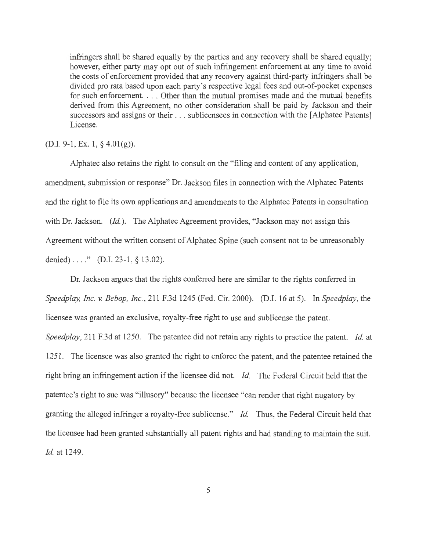infringers shall be shared equally by the parties and any recovery shall be shared equally; however, either party may opt out of such infringement enforcement at any time to avoid the costs of enforcement provided that any recovery against third-party infringers shall be divided pro rata based upon each party's respective legal fees and out-of-pocket expenses for such enforcement. ... Other than the mutual promises made and the mutual benefits derived from this Agreement, no other consideration shall be paid by Jackson and their successors and assigns or their ... sublicensees in connection with the [Alphatec Patents] License.

#### $(D.I. 9-1, Ex. 1, § 4.01(g)).$

Alphatec also retains the right to consult on the "filing and content of any application, amendment, submission or response" Dr. Jackson files in connection with the Alphatec Patents and the right to file its own applications and amendments to the Alphatec Patents in consultation with Dr. Jackson. *(Id.)*. The Alphatec Agreement provides, "Jackson may not assign this Agreement without the written consent of Alphatec Spine (such consent not to be unreasonably denied)  $\dots$ ." (D.I. 23-1, § 13.02).

Dr. Jackson argues that the rights conferred here are similar to the rights conferred in *Speedplay, Inc. v. Bebop, Inc. ,* 211 F.3d 1245 (Fed. Cir. 2000). (D.I. 16 at 5). In *Speedplay,* the licensee was granted an exclusive, royalty-free right to use and sublicense the patent. *Speedplay,* 211 F.3d at 1250. The patentee did not retain any rights to practice the patent. *Id.* at 1251. The licensee was also granted the right to enforce the patent, and the patentee retained the right bring an infringement action if the licensee did not. *Id.* The Federal Circuit held that the patentee's right to sue was "illusory" because the licensee "can render that right nugatory by granting the alleged infringer a royalty-free sublicense." *Id.* Thus, the Federal Circuit held that the licensee had been granted substantially all patent rights and had standing to maintain the suit. *Id.* at 1249.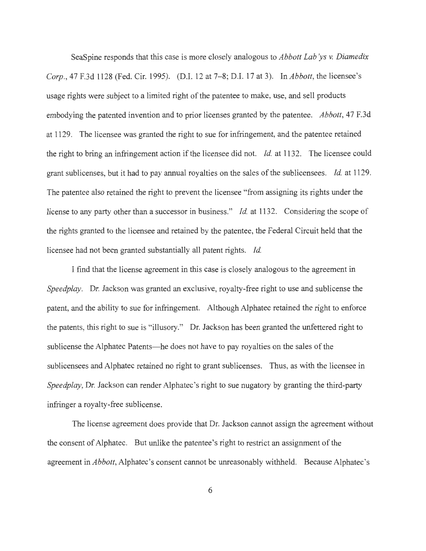SeaSpine responds that this case is more closely analogous to *Abbott Lab ys v. Diamedix Corp.,* 47 F.3d 1128 (Fed. Cir. 1995). (D.I. 12 at 7-8; D.I. 17 at 3). In *Abbott,* the licensee's usage rights were subject to a limited right of the patentee to make, use, and sell products embodying the patented invention and to prior licenses granted by the patentee. *Abbott,* 47 F.3d at 1129. The licensee was granted the right to sue for infringement, and the patentee retained the right to bring an infringement action if the licensee did not. *Id.* at 1132. The licensee could grant sub licenses, but it had to pay annual royalties on the sales of the sub licensees. *Id.* at 1129. The patentee also retained the right to prevent the licensee "from assigning its rights under the license to any party other than a successor in business." *Id.* at 1132. Considering the scope of the rights granted to the licensee and retained by the patentee, the Federal Circuit held that the licensee had not been granted substantially all patent rights. *Id.* 

I find that the license agreement in this case is closely analogous to the agreement in *Speedplay.* Dr. Jackson was granted an exclusive, royalty-free right to use and sublicense the patent, and the ability to sue for infringement. Although Alphatec retained the right to enforce the patents, this right to sue is "illusory." Dr. Jackson has been granted the unfettered right to sublicense the Alphatec Patents-he does not have to pay royalties on the sales of the sublicensees and Alphatec retained no right to grant sublicenses. Thus, as with the licensee in *Speedplay,* Dr. Jackson can render Alphatec's right to sue nugatory by granting the third-party infringer a royalty-free sublicense.

The license agreement does provide that Dr. Jackson cannot assign the agreement without the consent of Alphatec. But unlike the patentee's right to restrict an assignment of the agreement in *Abbott,* Alphatec 's consent cannot be unreasonably withheld. Because Alphatec 's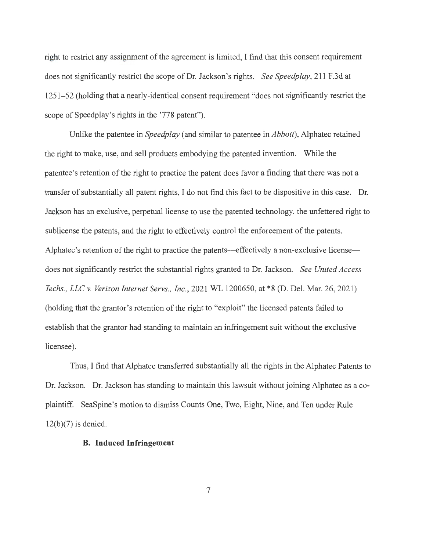right to restrict any assignment of the agreement is limited, I find that this consent requirement does not significantly restrict the scope of Dr. Jackson's rights. *See Speedplay,* 211 F.3d at 1251- 52 (holding that a nearly-identical consent requirement "does not significantly restrict the scope of Speedplay's rights in the '778 patent").

Unlike the patentee in *Speedplay* (and similar to patentee in *Abbott),* Alphatec retained the right to make, use, and sell products embodying the patented invention. While the patentee's retention of the right to practice the patent does favor a finding that there was not a transfer of substantially all patent rights, I do not find this fact to be dispositive in this case. Dr. Jackson has an exclusive, perpetual license to use the patented technology, the unfettered right to sublicense the patents, and the right to effectively control the enforcement of the patents. Alphatec's retention of the right to practice the patents—effectively a non-exclusive license does not significantly restrict the substantial rights granted to Dr. Jackson. *See United Access Techs. , LLC* v. *Verizon Internet Servs., Inc. ,* 2021 WL 1200650, at \*8 (D. Del. Mar. 26, 2021) (holding that the grantor's retention of the right to "exploit" the licensed patents failed to establish that the grantor had standing to maintain an infringement suit without the exclusive licensee).

Thus, I find that Alphatec transferred substantially all the rights in the Alphatec Patents to Dr. Jackson. Dr. Jackson has standing to maintain this lawsuit without joining Alphatec as a coplaintiff. SeaSpine's motion to dismiss Counts One, Two, Eight, Nine, and Ten under Rule  $12(b)(7)$  is denied.

#### **B. Induced Infringement**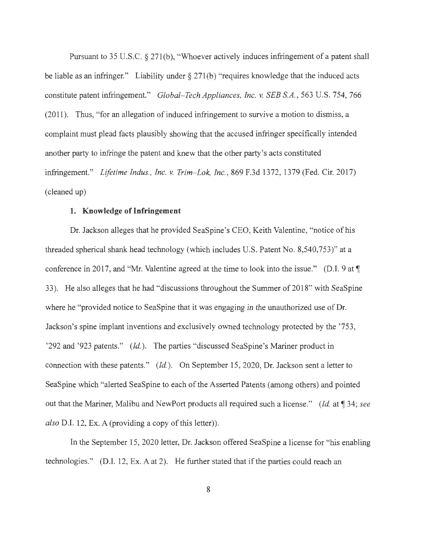Pursuant to 35 U.S.C. § 271(b), "Whoever actively induces infringement of a patent shall be liable as an infringer." Liability under § 271(b) "requires knowledge that the induced acts constitute patent infringement." *Global- Tech Appliances, Inc. v. SEB S.A.,* 563 U.S. 754, 766 (2011 ). Thus, "for an allegation of induced infringement to survive a motion to dismiss, a complaint must plead facts plausibly showing that the accused infringer specifically intended another party to infringe the patent and knew that the other party's acts constituted infringement." *Lifetime Indus., Inc.* v. *Trim- Lok, Inc. ,* 869 F.3d 1372, 1379 (Fed. Cir. 2017) ( cleaned up)

# **1. Knowledge of Infringement**

Dr. Jackson alleges that he provided SeaSpine's CEO, Keith Valentine, "notice of his threaded spherical shank head technology (which includes U.S. Patent No. 8,540,753)" at a conference in 2017, and "Mr. Valentine agreed at the time to look into the issue." (D.I. 9 at ¶ 33). He also alleges that he had "discussions throughout the Summer of 2018" with SeaSpine where he "provided notice to SeaSpine that it was engaging in the unauthorized use of Dr. Jackson's spine implant inventions and exclusively owned technology protected by the '753, '292 and '923 patents." *(Id.).* The parties "discussed SeaSpine's Mariner product in connection with these patents." *(Id.).* On September 15, 2020, Dr. Jackson sent a letter to SeaSpine which "alerted SeaSpine to each of the Asserted Patents (among others) and pointed out that the Mariner, Malibu and NewPort products all required such a license." *(Id. at* 134; *see also* D.I. 12, Ex. A (providing a copy of this letter)).

In the September 15, 2020 letter, Dr. Jackson offered SeaSpine a license for "his enabling technologies." (D.I. 12, Ex. A at 2). He further stated that if the parties could reach an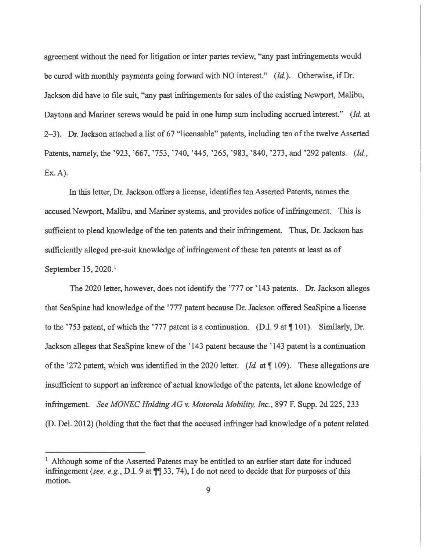agreement without the need for litigation or inter partes review, "any past infringements would be cured with monthly payments going forward with NO interest." *(Id.).* Otherwise, if Dr. Jackson did have to file suit, "any past infringements for sales of the existing Newport, Malibu, Daytona and Mariner screws would be paid in one lump sum including accrued interest." *(Id.* at 2-3). Dr. Jackson attached a list of 67 "licensable" patents, including ten of the twelve Asserted Patents, namely, the '923, '667, '753, '740, '445, '265, '983, '840, '273, and '292 patents. *(Id., `* Ex.A).

In this letter, Dr. Jackson offers a license, identifies ten Asserted Patents, names the accused Newport, Malibu, and Mariner systems, and provides notice of infringement. This is sufficient to plead knowledge of the ten patents and their infringement. Thus, Dr. Jackson has sufficiently alleged pre-suit knowledge of infringement of these ten patents at least as of September 15, 2020.<sup>1</sup>

The 2020 letter, however, does not identify the '777 or ' 143 patents. Dr. Jackson alleges that SeaSpine had knowledge of the '777 patent because Dr. Jackson offered SeaSpine a license to the '753 patent, of which the '777 patent is a continuation. (D.I. 9 at  $\P$  101). Similarly, Dr. Jackson alleges that SeaSpine knew of the '143 patent because the '143 patent is a continuation of the '272 patent, which was identified in the 2020 letter. (*Id.* at ¶ 109). These allegations are insufficient to support an inference of actual knowledge of the patents, let alone knowledge of infringement. *See MONEC Holding AG v. Motorola Mobility, Inc.,* 897 F. Supp. 2d 225,233 (D. Del. 2012) (holding that the fact that the accused infringer had knowledge of a patent related

<sup>&</sup>lt;sup>1</sup> Although some of the Asserted Patents may be entitled to an earlier start date for induced infringement *(see, e.g., D.I.* 9 at  $\P$  33, 74), I do not need to decide that for purposes of this motion.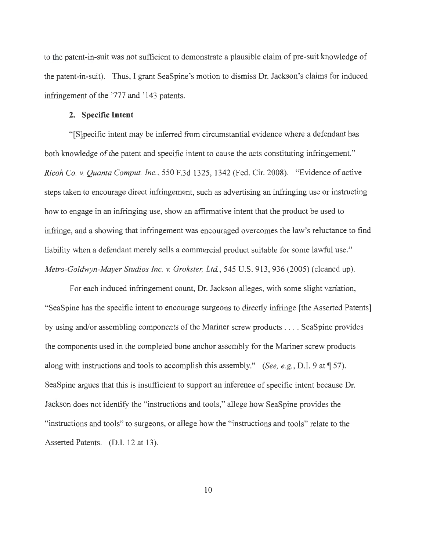to the patent-in-suit was not sufficient to demonstrate a plausible claim of pre-suit knowledge of the patent-in-suit). Thus, I grant SeaSpine's motion to dismiss Dr. Jackson's claims for induced infringement of the '777 and '143 patents.

# **2. Specific Intent**

" [S]pecific intent may be inferred from circumstantial evidence where a defendant has both knowledge of the patent and specific intent to cause the acts constituting infringement." *Ricoh Co. v. Quanta Comput. Inc. ,* 550 F.3d 1325, 1342 (Fed. Cir. 2008). "Evidence of active steps taken to encourage direct infringement, such as advertising an infringing use or instructing how to engage in an infringing use, show an affirmative intent that the product be used to infringe, and a showing that infringement was encouraged overcomes the law's reluctance to find liability when a defendant merely sells a commercial product suitable for some lawful use." *Metro-Goldwyn-Mayer Studios Inc. v. Grokster, Ltd. ,* 545 U.S. 913, 936 (2005) (cleaned up).

For each induced infringement count, Dr. Jackson alleges, with some slight variation, "SeaSpine has the specific intent to encourage surgeons to directly infringe [the Asserted Patents] by using and/or assembling components of the Mariner screw products .. .. SeaSpine provides the components used in the completed bone anchor assembly for the Mariner screw products along with instructions and tools to accomplish this assembly." *(See, e.g., D.I. 9 at* 157). SeaSpine argues that this is insufficient to support an inference of specific intent because Dr. Jackson does not identify the "instructions and tools," allege how SeaSpine provides the "instructions and tools" to surgeons, or allege how the "instructions and tools" relate to the Asserted Patents. (D.I. 12 at 13).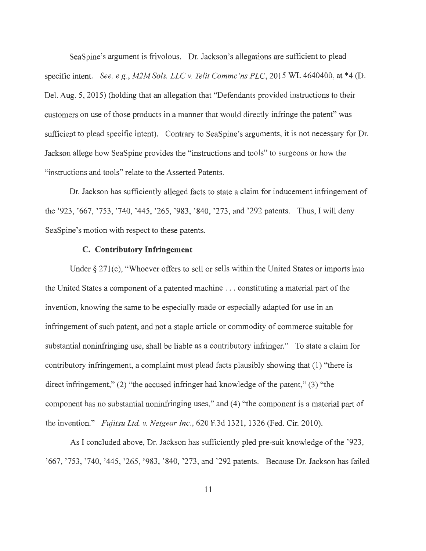SeaSpine's argument is frivolous. Dr. Jackson's allegations are sufficient to plead specific intent. *See, e.g. , M2M Sols. LLC v. Telit Commc 'ns PLC,* 2015 WL 4640400, at \*4 (D. Del. Aug. 5, 2015) (holding that an allegation that "Defendants provided instructions to their customers on use of those products in a manner that would directly infringe the patent" was sufficient to plead specific intent). Contrary to SeaSpine's arguments, it is not necessary for Dr. Jackson allege how SeaSpine provides the "instructions and tools" to surgeons or how the "instructions and tools" relate to the Asserted Patents.

Dr. Jackson has sufficiently alleged facts to state a claim for inducement infringement of the '923, '667, '753, '740, '445, '265, '983, '840, '273, and '292 patents. Thus, I will deny SeaSpine's motion with respect to these patents.

# **C. Contributory Infringement**

Under  $\S 271(c)$ , "Whoever offers to sell or sells within the United States or imports into the United States a component of a patented machine .. . constituting a material part of the invention, knowing the same to be especially made or especially adapted for use in an infringement of such patent, and not a staple article or commodity of commerce suitable for substantial noninfringing use, shall be liable as a contributory infringer." To state a claim for contributory infringement, a complaint must plead facts plausibly showing that (1) "there is direct infringement," (2) "the accused infringer had knowledge of the patent," (3) "the component has no substantial noninfringing uses," and (4) "the component is a material part of the invention." *Fujitsu Ltd v. Netgear Inc.,* 620 F.3d 1321 , 1326 (Fed. Cir. 2010).

As I concluded above, Dr. Jackson has sufficiently pled pre-suit knowledge of the '923, ' 667, '753, '740, '445, '265, '983, ' 840, '273, and '292 patents. Because Dr. Jackson has failed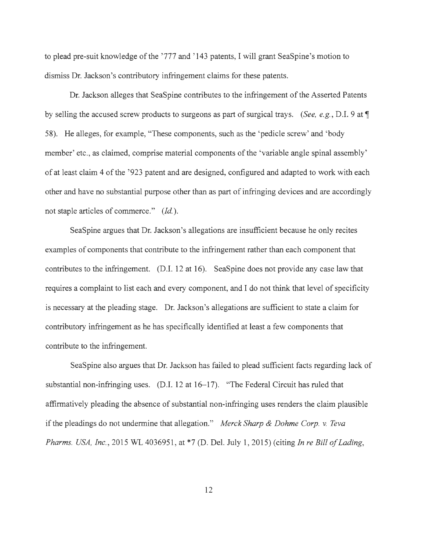to plead pre-suit knowledge of the '777 and ' 143 patents, I will grant SeaSpine's motion to dismiss Dr. Jackson's contributory infringement claims for these patents.

Dr. Jackson alleges that SeaSpine contributes to the infringement of the Asserted Patents by selling the accused screw products to surgeons as part of surgical trays. *(See, e.g. ,* D.I. 9 at 1 58). He alleges, for example, "These components, such as the 'pedicle screw' and 'body member' etc., as claimed, comprise material components of the 'variable angle spinal assembly' of at least claim 4 of the '923 patent and are designed, configured and adapted to work with each other and have no substantial purpose other than as part of infringing devices and are accordingly not staple articles of commerce." *(Id.).* 

SeaSpine argues that Dr. Jackson's allegations are insufficient because he only recites examples of components that contribute to the infringement rather than each component that contributes to the infringement. (D.I. 12 at 16). SeaSpine does not provide any case law that requires a complaint to list each and every component, and I do not think that level of specificity is necessary at the pleading stage. Dr. Jackson's allegations are sufficient to state a claim for contributory infringement as he has specifically identified at least a few components that contribute to the infringement.

SeaSpine also argues that Dr. Jackson has failed to plead sufficient facts regarding lack of substantial non-infringing uses. (D.I. 12 at 16-17). "The Federal Circuit has ruled that affirmatively pleading the absence of substantial non-infringing uses renders the claim plausible if the pleadings do not undermine that allegation." *Merck Sharp & Dahme Corp. v. Teva Pharms. USA, Inc.,* 2015 WL 4036951 , at \*7 (D. Del. July 1, 2015) (citing *In re Bill of Lading,*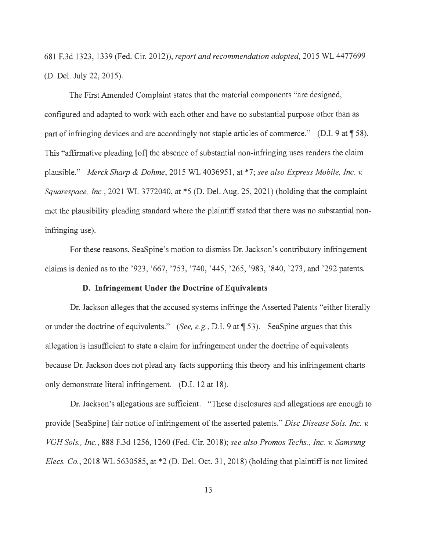681 F.3d 1323, 1339 (Fed. Cir. 2012)), *report and recommendation adopted,* 2015 WL 4477699 (D. Del. July 22, 2015).

The First Amended Complaint states that the material components "are designed, configured and adapted to work with each other and have no substantial purpose other than as part of infringing devices and are accordingly not staple articles of commerce." (D.I.  $9$  at  $\text{\textless} 58$ ). This "affirmative pleading [of] the absence of substantial non-infringing uses renders the claim plausible." *Merck Sharp & Dahme,* 2015 WL 4036951 , at \*7; *see also Express Mobile, Inc. v. Squarespace, Inc.,* 2021 WL 3772040, at \*5 (D. Del. Aug. 25, 2021) (holding that the complaint met the plausibility pleading standard where the plaintiff stated that there was no substantial noninfringing use).

For these reasons, SeaSpine's motion to dismiss Dr. Jackson's contributory infringement claims is denied as to the '923, '667, '753, '740, '445, '265, '983, '840, '273, and '292 patents.

# **D. Infringement Under the Doctrine of Equivalents**

Dr. Jackson alleges that the accused systems infringe the Asserted Patents "either literally or under the doctrine of equivalents." *(See, e.g., D.I.* 9 at 153). SeaSpine argues that this allegation is insufficient to state a claim for infringement under the doctrine of equivalents because Dr. Jackson does not plead any facts supporting this theory and his infringement charts only demonstrate literal infringement. (D.I. 12 at 18).

Dr. Jackson's allegations are sufficient. "These disclosures and allegations are enough to provide [SeaSpine] fair notice of infringement of the asserted patents." *Disc Disease Sols. Inc. v. VGH Sols., Inc.,* 888 F.3d 1256, 1260 (Fed. Cir. 2018); *see also Promos Techs. , Inc. v. Samsung Elecs. Co.*, 2018 WL 5630585, at \*2 (D. Del. Oct. 31, 2018) (holding that plaintiff is not limited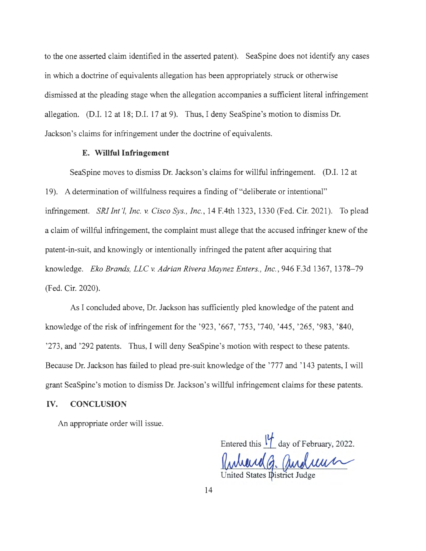to the one asserted claim identified in the asserted patent). SeaSpine does not identify any cases in which a doctrine of equivalents allegation has been appropriately struck or otherwise dismissed at the pleading stage when the allegation accompanies a sufficient literal infringement allegation. (D.I. 12 at 18; D.I. 17 at 9). Thus, I deny SeaSpine's motion to dismiss Dr. Jackson's claims for infringement under the doctrine of equivalents.

# **E. Willful Infringement**

SeaSpine moves to dismiss Dr. Jackson's claims for willful infringement. (D.I. 12 at 19). A determination of willfulness requires a finding of "deliberate or intentional" infringement. *SRI Int '!, Inc. v. Cisco Sys., Inc.,* 14 F.4th 1323, 1330 (Fed. Cir. 2021). To plead a claim of willful infringement, the complaint must allege that the accused infringer knew of the patent-in-suit, and knowingly or intentionally infringed the patent after acquiring that knowledge. *Eko Brands, LLC v. Adrian Rivera Maynez Enters., Inc.,* 946 F.3d 1367, 1378-79 (Fed. Cir. 2020).

As I concluded above, Dr. Jackson has sufficiently pled knowledge of the patent and knowledge of the risk of infringement for the '923, '667, '753, '740, '445, '265, '983, '840, '273, and '292 patents. Thus, I will deny SeaSpine's motion with respect to these patents. Because Dr. Jackson has failed to plead pre-suit knowledge of the '777 and ' 143 patents, I will grant SeaSpine's motion to dismiss Dr. Jackson's willful infringement claims for these patents.

## **IV. CONCLUSION**

An appropriate order will issue.

Entered this  $\frac{W}{d}$  day of February, 2022. United States District Judge